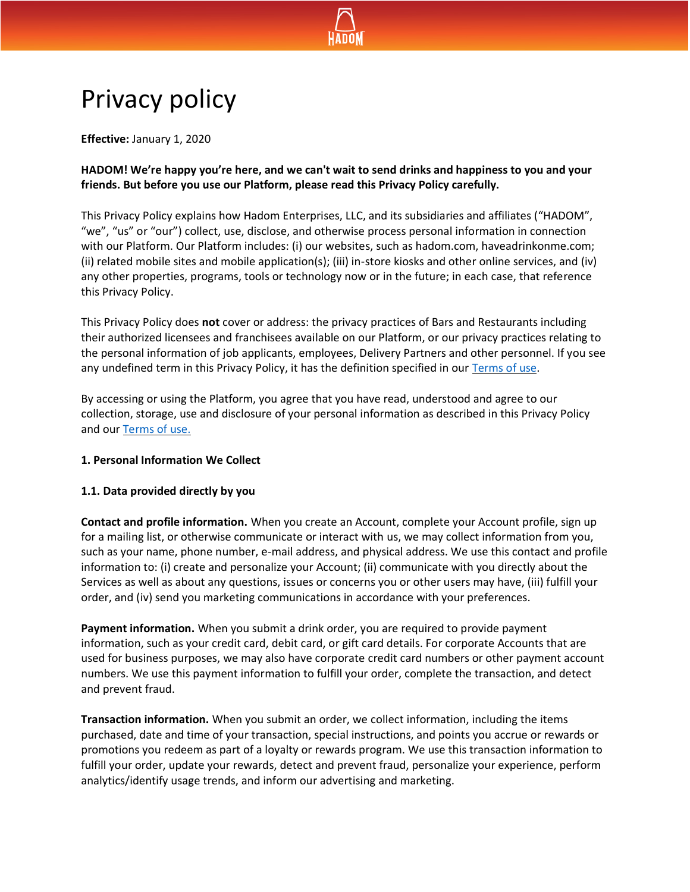

# Privacy policy

**Effective:** January 1, 2020

**HADOM! We're happy you're here, and we can't wait to send drinks and happiness to you and your friends. But before you use our Platform, please read this Privacy Policy carefully.**

This Privacy Policy explains how Hadom Enterprises, LLC, and its subsidiaries and affiliates ("HADOM", "we", "us" or "our") collect, use, disclose, and otherwise process personal information in connection with our Platform. Our Platform includes: (i) our websites, such as hadom.com, haveadrinkonme.com; (ii) related mobile sites and mobile application(s); (iii) in-store kiosks and other online services, and (iv) any other properties, programs, tools or technology now or in the future; in each case, that reference this Privacy Policy.

This Privacy Policy does **not** cover or address: the privacy practices of Bars and Restaurants including their authorized licensees and franchisees available on our Platform, or our privacy practices relating to the personal information of job applicants, employees, Delivery Partners and other personnel. If you see any undefined term in this Privacy Policy, it has the definition specified in our [Terms of use.](https://hadom.com/documents/HADOM_terms-of-use.pdf)

By accessing or using the Platform, you agree that you have read, understood and agree to our collection, storage, use and disclosure of your personal information as described in this Privacy Policy and our [Terms of use.](https://hadom.com/documents/HADOM_terms-of-use.pdf)

## **1. Personal Information We Collect**

## **1.1. Data provided directly by you**

**Contact and profile information.** When you create an Account, complete your Account profile, sign up for a mailing list, or otherwise communicate or interact with us, we may collect information from you, such as your name, phone number, e-mail address, and physical address. We use this contact and profile information to: (i) create and personalize your Account; (ii) communicate with you directly about the Services as well as about any questions, issues or concerns you or other users may have, (iii) fulfill your order, and (iv) send you marketing communications in accordance with your preferences.

**Payment information.** When you submit a drink order, you are required to provide payment information, such as your credit card, debit card, or gift card details. For corporate Accounts that are used for business purposes, we may also have corporate credit card numbers or other payment account numbers. We use this payment information to fulfill your order, complete the transaction, and detect and prevent fraud.

**Transaction information.** When you submit an order, we collect information, including the items purchased, date and time of your transaction, special instructions, and points you accrue or rewards or promotions you redeem as part of a loyalty or rewards program. We use this transaction information to fulfill your order, update your rewards, detect and prevent fraud, personalize your experience, perform analytics/identify usage trends, and inform our advertising and marketing.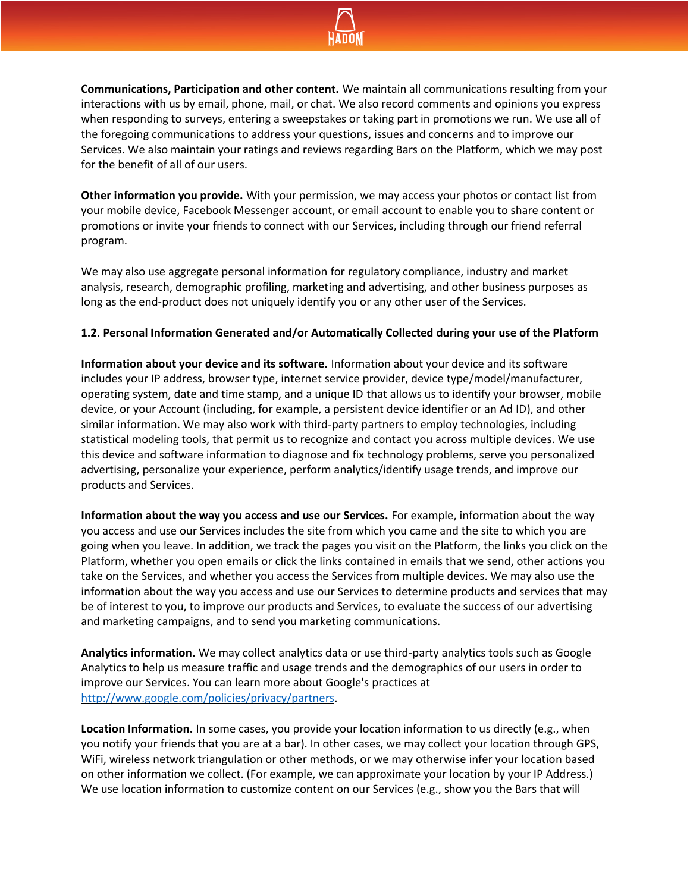

**Communications, Participation and other content.** We maintain all communications resulting from your interactions with us by email, phone, mail, or chat. We also record comments and opinions you express when responding to surveys, entering a sweepstakes or taking part in promotions we run. We use all of the foregoing communications to address your questions, issues and concerns and to improve our Services. We also maintain your ratings and reviews regarding Bars on the Platform, which we may post for the benefit of all of our users.

**Other information you provide.** With your permission, we may access your photos or contact list from your mobile device, Facebook Messenger account, or email account to enable you to share content or promotions or invite your friends to connect with our Services, including through our friend referral program.

We may also use aggregate personal information for regulatory compliance, industry and market analysis, research, demographic profiling, marketing and advertising, and other business purposes as long as the end-product does not uniquely identify you or any other user of the Services.

#### **1.2. Personal Information Generated and/or Automatically Collected during your use of the Platform**

**Information about your device and its software.** Information about your device and its software includes your IP address, browser type, internet service provider, device type/model/manufacturer, operating system, date and time stamp, and a unique ID that allows us to identify your browser, mobile device, or your Account (including, for example, a persistent device identifier or an Ad ID), and other similar information. We may also work with third-party partners to employ technologies, including statistical modeling tools, that permit us to recognize and contact you across multiple devices. We use this device and software information to diagnose and fix technology problems, serve you personalized advertising, personalize your experience, perform analytics/identify usage trends, and improve our products and Services.

**Information about the way you access and use our Services.** For example, information about the way you access and use our Services includes the site from which you came and the site to which you are going when you leave. In addition, we track the pages you visit on the Platform, the links you click on the Platform, whether you open emails or click the links contained in emails that we send, other actions you take on the Services, and whether you access the Services from multiple devices. We may also use the information about the way you access and use our Services to determine products and services that may be of interest to you, to improve our products and Services, to evaluate the success of our advertising and marketing campaigns, and to send you marketing communications.

**Analytics information.** We may collect analytics data or use third-party analytics tools such as Google Analytics to help us measure traffic and usage trends and the demographics of our users in order to improve our Services. You can learn more about Google's practices at [http://www.google.com/policies/privacy/partners.](http://www.google.com/policies/privacy/partners)

**Location Information.** In some cases, you provide your location information to us directly (e.g., when you notify your friends that you are at a bar). In other cases, we may collect your location through GPS, WiFi, wireless network triangulation or other methods, or we may otherwise infer your location based on other information we collect. (For example, we can approximate your location by your IP Address.) We use location information to customize content on our Services (e.g., show you the Bars that will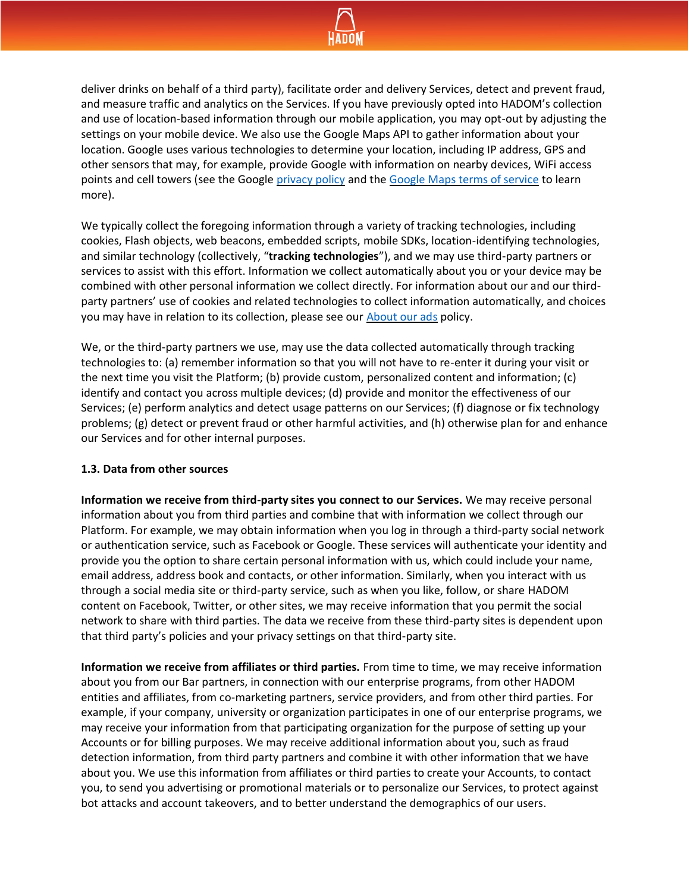

deliver drinks on behalf of a third party), facilitate order and delivery Services, detect and prevent fraud, and measure traffic and analytics on the Services. If you have previously opted into HADOM's collection and use of location-based information through our mobile application, you may opt-out by adjusting the settings on your mobile device. We also use the Google Maps API to gather information about your location. Google uses various technologies to determine your location, including IP address, GPS and other sensors that may, for example, provide Google with information on nearby devices, WiFi access points and cell towers (see the Google [privacy policy](https://policies.google.com/privacy) and th[e Google Maps terms of service](https://maps.google.com/help/terms_maps/) to learn more).

We typically collect the foregoing information through a variety of tracking technologies, including cookies, Flash objects, web beacons, embedded scripts, mobile SDKs, location-identifying technologies, and similar technology (collectively, "**tracking technologies**"), and we may use third-party partners or services to assist with this effort. Information we collect automatically about you or your device may be combined with other personal information we collect directly. For information about our and our thirdparty partners' use of cookies and related technologies to collect information automatically, and choices you may have in relation to its collection, please see our [About our ads](https://hadom.com/documents/HADOM_about_our_ads.pdf) policy.

We, or the third-party partners we use, may use the data collected automatically through tracking technologies to: (a) remember information so that you will not have to re-enter it during your visit or the next time you visit the Platform; (b) provide custom, personalized content and information; (c) identify and contact you across multiple devices; (d) provide and monitor the effectiveness of our Services; (e) perform analytics and detect usage patterns on our Services; (f) diagnose or fix technology problems; (g) detect or prevent fraud or other harmful activities, and (h) otherwise plan for and enhance our Services and for other internal purposes.

#### **1.3. Data from other sources**

**Information we receive from third-party sites you connect to our Services.** We may receive personal information about you from third parties and combine that with information we collect through our Platform. For example, we may obtain information when you log in through a third-party social network or authentication service, such as Facebook or Google. These services will authenticate your identity and provide you the option to share certain personal information with us, which could include your name, email address, address book and contacts, or other information. Similarly, when you interact with us through a social media site or third-party service, such as when you like, follow, or share HADOM content on Facebook, Twitter, or other sites, we may receive information that you permit the social network to share with third parties. The data we receive from these third-party sites is dependent upon that third party's policies and your privacy settings on that third-party site.

**Information we receive from affiliates or third parties.** From time to time, we may receive information about you from our Bar partners, in connection with our enterprise programs, from other HADOM entities and affiliates, from co-marketing partners, service providers, and from other third parties. For example, if your company, university or organization participates in one of our enterprise programs, we may receive your information from that participating organization for the purpose of setting up your Accounts or for billing purposes. We may receive additional information about you, such as fraud detection information, from third party partners and combine it with other information that we have about you. We use this information from affiliates or third parties to create your Accounts, to contact you, to send you advertising or promotional materials or to personalize our Services, to protect against bot attacks and account takeovers, and to better understand the demographics of our users.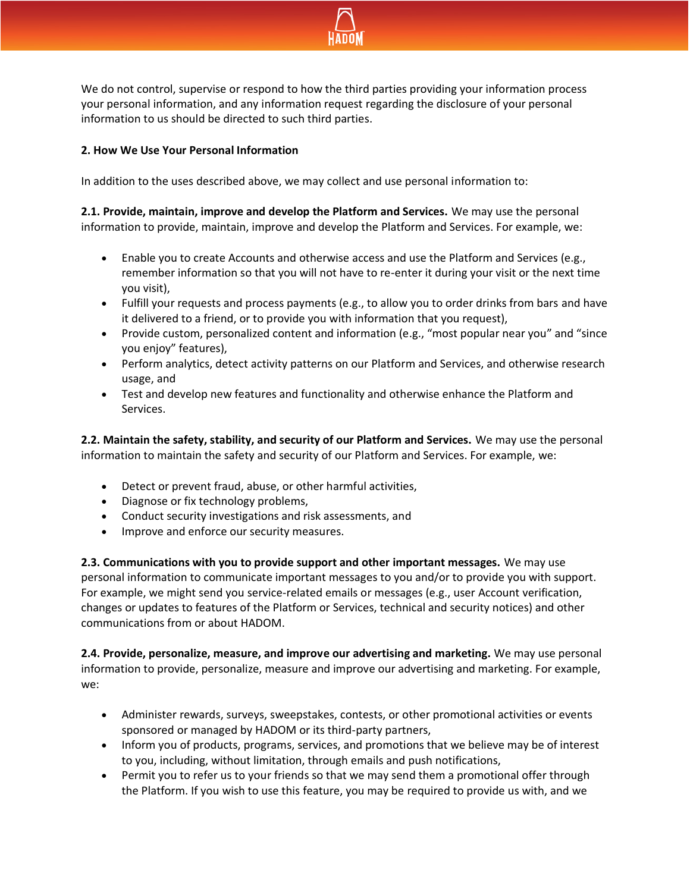

We do not control, supervise or respond to how the third parties providing your information process your personal information, and any information request regarding the disclosure of your personal information to us should be directed to such third parties.

# **2. How We Use Your Personal Information**

In addition to the uses described above, we may collect and use personal information to:

**2.1. Provide, maintain, improve and develop the Platform and Services.** We may use the personal information to provide, maintain, improve and develop the Platform and Services. For example, we:

- Enable you to create Accounts and otherwise access and use the Platform and Services (e.g., remember information so that you will not have to re-enter it during your visit or the next time you visit),
- Fulfill your requests and process payments (e.g., to allow you to order drinks from bars and have it delivered to a friend, or to provide you with information that you request),
- Provide custom, personalized content and information (e.g., "most popular near you" and "since you enjoy" features),
- Perform analytics, detect activity patterns on our Platform and Services, and otherwise research usage, and
- Test and develop new features and functionality and otherwise enhance the Platform and Services.

**2.2. Maintain the safety, stability, and security of our Platform and Services.** We may use the personal information to maintain the safety and security of our Platform and Services. For example, we:

- Detect or prevent fraud, abuse, or other harmful activities,
- Diagnose or fix technology problems,
- Conduct security investigations and risk assessments, and
- Improve and enforce our security measures.

**2.3. Communications with you to provide support and other important messages.** We may use personal information to communicate important messages to you and/or to provide you with support. For example, we might send you service-related emails or messages (e.g., user Account verification, changes or updates to features of the Platform or Services, technical and security notices) and other communications from or about HADOM.

**2.4. Provide, personalize, measure, and improve our advertising and marketing.** We may use personal information to provide, personalize, measure and improve our advertising and marketing. For example, we:

- Administer rewards, surveys, sweepstakes, contests, or other promotional activities or events sponsored or managed by HADOM or its third-party partners,
- Inform you of products, programs, services, and promotions that we believe may be of interest to you, including, without limitation, through emails and push notifications,
- Permit you to refer us to your friends so that we may send them a promotional offer through the Platform. If you wish to use this feature, you may be required to provide us with, and we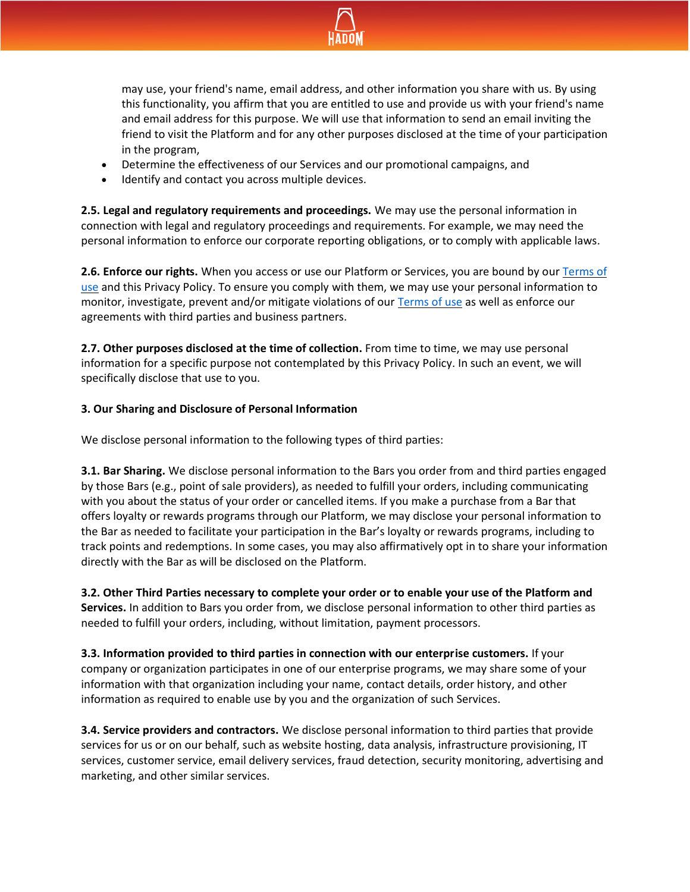

may use, your friend's name, email address, and other information you share with us. By using this functionality, you affirm that you are entitled to use and provide us with your friend's name and email address for this purpose. We will use that information to send an email inviting the friend to visit the Platform and for any other purposes disclosed at the time of your participation in the program,

- Determine the effectiveness of our Services and our promotional campaigns, and
- Identify and contact you across multiple devices.

**2.5. Legal and regulatory requirements and proceedings.** We may use the personal information in connection with legal and regulatory proceedings and requirements. For example, we may need the personal information to enforce our corporate reporting obligations, or to comply with applicable laws.

**2.6. Enforce our rights.** When you access or use our Platform or Services, you are bound by our [Terms of](https://hadom.com/documents/HADOM_terms-of-use.pdf)  [use](https://hadom.com/documents/HADOM_terms-of-use.pdf) and this Privacy Policy. To ensure you comply with them, we may use your personal information to monitor, investigate, prevent and/or mitigate violations of our [Terms of use](https://hadom.com/documents/HADOM_terms-of-use.pdf) as well as enforce our agreements with third parties and business partners.

**2.7. Other purposes disclosed at the time of collection.** From time to time, we may use personal information for a specific purpose not contemplated by this Privacy Policy. In such an event, we will specifically disclose that use to you.

## **3. Our Sharing and Disclosure of Personal Information**

We disclose personal information to the following types of third parties:

**3.1. Bar Sharing.** We disclose personal information to the Bars you order from and third parties engaged by those Bars (e.g., point of sale providers), as needed to fulfill your orders, including communicating with you about the status of your order or cancelled items. If you make a purchase from a Bar that offers loyalty or rewards programs through our Platform, we may disclose your personal information to the Bar as needed to facilitate your participation in the Bar's loyalty or rewards programs, including to track points and redemptions. In some cases, you may also affirmatively opt in to share your information directly with the Bar as will be disclosed on the Platform.

**3.2. Other Third Parties necessary to complete your order or to enable your use of the Platform and Services.** In addition to Bars you order from, we disclose personal information to other third parties as needed to fulfill your orders, including, without limitation, payment processors.

**3.3. Information provided to third parties in connection with our enterprise customers.** If your company or organization participates in one of our enterprise programs, we may share some of your information with that organization including your name, contact details, order history, and other information as required to enable use by you and the organization of such Services.

**3.4. Service providers and contractors.** We disclose personal information to third parties that provide services for us or on our behalf, such as website hosting, data analysis, infrastructure provisioning, IT services, customer service, email delivery services, fraud detection, security monitoring, advertising and marketing, and other similar services.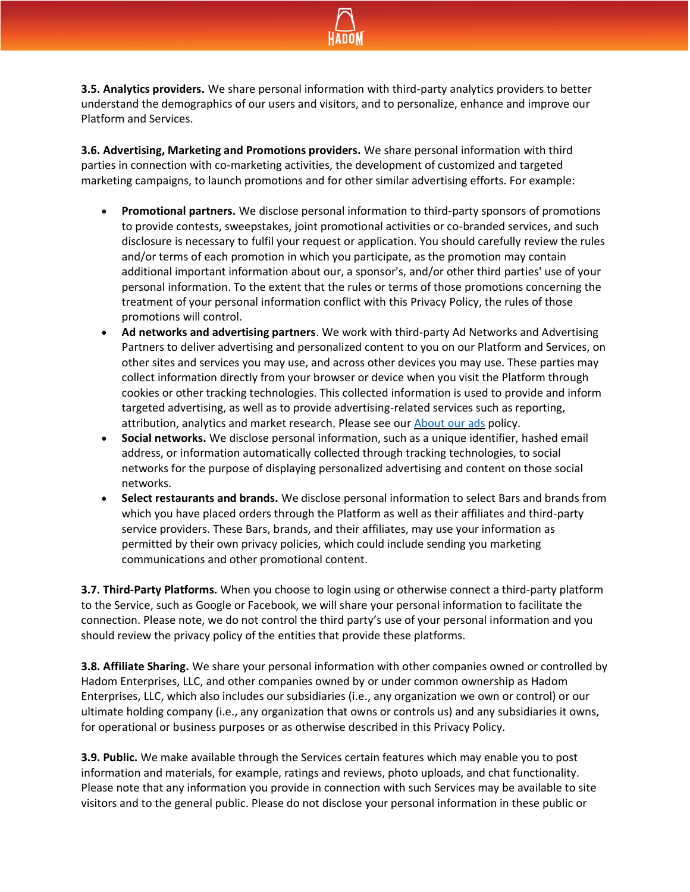

**3.5. Analytics providers.** We share personal information with third-party analytics providers to better understand the demographics of our users and visitors, and to personalize, enhance and improve our Platform and Services.

**3.6. Advertising, Marketing and Promotions providers.** We share personal information with third parties in connection with co-marketing activities, the development of customized and targeted marketing campaigns, to launch promotions and for other similar advertising efforts. For example:

- **Promotional partners.** We disclose personal information to third-party sponsors of promotions to provide contests, sweepstakes, joint promotional activities or co-branded services, and such disclosure is necessary to fulfil your request or application. You should carefully review the rules and/or terms of each promotion in which you participate, as the promotion may contain additional important information about our, a sponsor's, and/or other third parties' use of your personal information. To the extent that the rules or terms of those promotions concerning the treatment of your personal information conflict with this Privacy Policy, the rules of those promotions will control.
- **Ad networks and advertising partners**. We work with third-party Ad Networks and Advertising Partners to deliver advertising and personalized content to you on our Platform and Services, on other sites and services you may use, and across other devices you may use. These parties may collect information directly from your browser or device when you visit the Platform through cookies or other tracking technologies. This collected information is used to provide and inform targeted advertising, as well as to provide advertising-related services such as reporting, attribution, analytics and market research. Please see our **About our ads** policy.
- **Social networks.** We disclose personal information, such as a unique identifier, hashed email address, or information automatically collected through tracking technologies, to social networks for the purpose of displaying personalized advertising and content on those social networks.
- **Select restaurants and brands.** We disclose personal information to select Bars and brands from which you have placed orders through the Platform as well as their affiliates and third-party service providers. These Bars, brands, and their affiliates, may use your information as permitted by their own privacy policies, which could include sending you marketing communications and other promotional content.

**3.7. Third-Party Platforms.** When you choose to login using or otherwise connect a third-party platform to the Service, such as Google or Facebook, we will share your personal information to facilitate the connection. Please note, we do not control the third party's use of your personal information and you should review the privacy policy of the entities that provide these platforms.

**3.8. Affiliate Sharing.** We share your personal information with other companies owned or controlled by Hadom Enterprises, LLC, and other companies owned by or under common ownership as Hadom Enterprises, LLC, which also includes our subsidiaries (i.e., any organization we own or control) or our ultimate holding company (i.e., any organization that owns or controls us) and any subsidiaries it owns, for operational or business purposes or as otherwise described in this Privacy Policy.

**3.9. Public.** We make available through the Services certain features which may enable you to post information and materials, for example, ratings and reviews, photo uploads, and chat functionality. Please note that any information you provide in connection with such Services may be available to site visitors and to the general public. Please do not disclose your personal information in these public or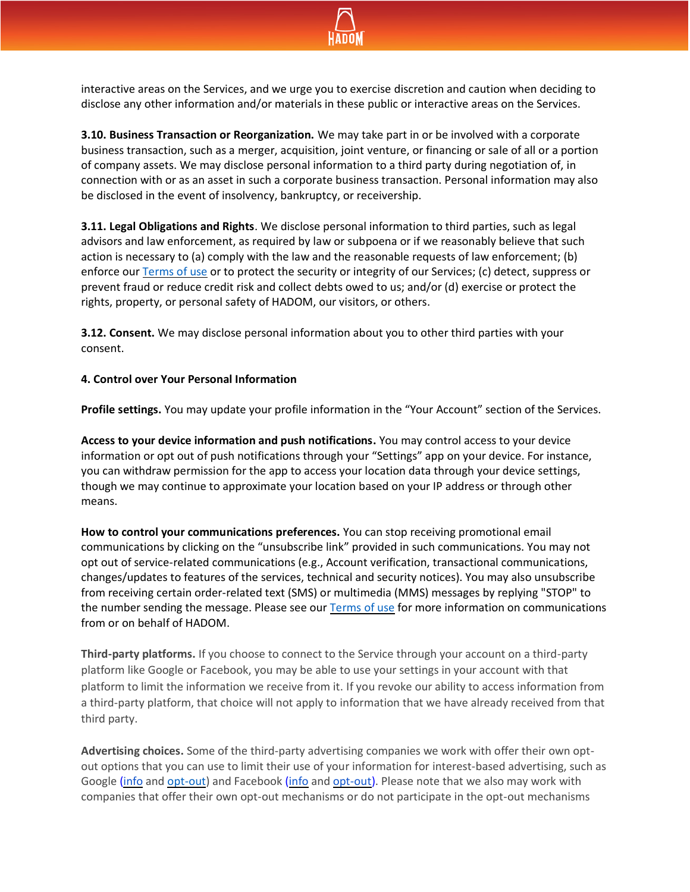

interactive areas on the Services, and we urge you to exercise discretion and caution when deciding to disclose any other information and/or materials in these public or interactive areas on the Services.

**3.10. Business Transaction or Reorganization.** We may take part in or be involved with a corporate business transaction, such as a merger, acquisition, joint venture, or financing or sale of all or a portion of company assets. We may disclose personal information to a third party during negotiation of, in connection with or as an asset in such a corporate business transaction. Personal information may also be disclosed in the event of insolvency, bankruptcy, or receivership.

**3.11. Legal Obligations and Rights**. We disclose personal information to third parties, such as legal advisors and law enforcement, as required by law or subpoena or if we reasonably believe that such action is necessary to (a) comply with the law and the reasonable requests of law enforcement; (b) enforce our [Terms of use](https://hadom.com/documents/HADOM_terms-of-use.pdf) or to protect the security or integrity of our Services; (c) detect, suppress or prevent fraud or reduce credit risk and collect debts owed to us; and/or (d) exercise or protect the rights, property, or personal safety of HADOM, our visitors, or others.

**3.12. Consent.** We may disclose personal information about you to other third parties with your consent.

## **4. Control over Your Personal Information**

**Profile settings.** You may update your profile information in the "Your Account" section of the Services.

**Access to your device information and push notifications.** You may control access to your device information or opt out of push notifications through your "Settings" app on your device. For instance, you can withdraw permission for the app to access your location data through your device settings, though we may continue to approximate your location based on your IP address or through other means.

**How to control your communications preferences.** You can stop receiving promotional email communications by clicking on the "unsubscribe link" provided in such communications. You may not opt out of service-related communications (e.g., Account verification, transactional communications, changes/updates to features of the services, technical and security notices). You may also unsubscribe from receiving certain order-related text (SMS) or multimedia (MMS) messages by replying "STOP" to the number sending the message. Please see our [Terms of use](https://hadom.com/documents/HADOM_terms-of-use.pdf) for more information on communications from or on behalf of HADOM.

**Third-party platforms.** If you choose to connect to the Service through your account on a third-party platform like Google or Facebook, you may be able to use your settings in your account with that platform to limit the information we receive from it. If you revoke our ability to access information from a third-party platform, that choice will not apply to information that we have already received from that third party.

**Advertising choices.** Some of the third-party advertising companies we work with offer their own optout options that you can use to limit their use of your information for interest-based advertising, such as Google [\(info](https://policies.google.com/privacy?hl=en-US#infochoices) and [opt-out\)](https://adssettings.google.com/authenticated) and Facebook [\(info](https://www.facebook.com/privacy/explanation) and [opt-out\)](https://www.facebook.com/about/ads). Please note that we also may work with companies that offer their own opt-out mechanisms or do not participate in the opt-out mechanisms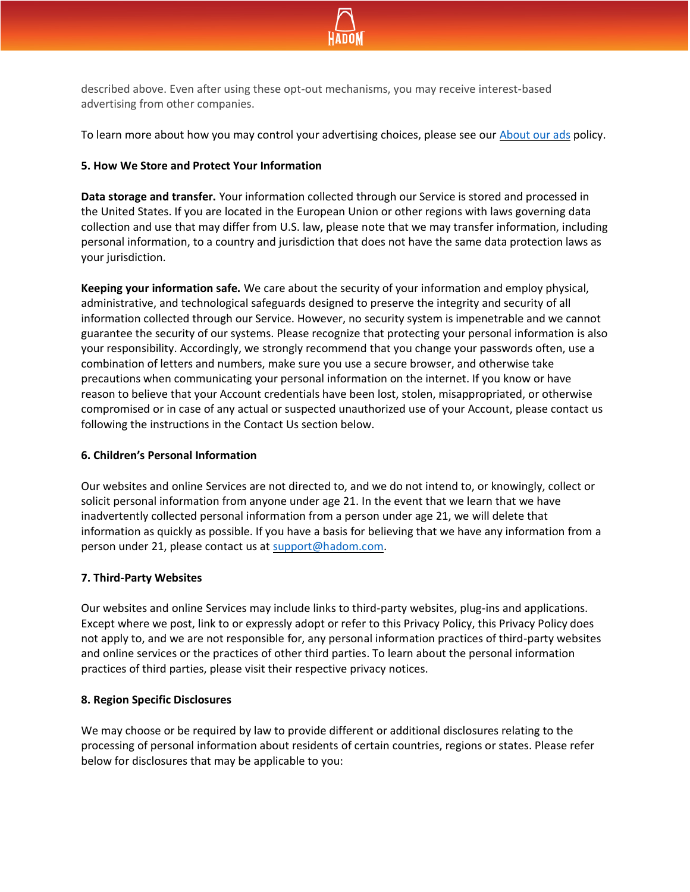

described above. Even after using these opt-out mechanisms, you may receive interest-based advertising from other companies.

To learn more about how you may control your advertising choices, please see our [About our ads](https://hadom.com/documents/HADOM_about_our_ads.pdf) policy.

## **5. How We Store and Protect Your Information**

**Data storage and transfer.** Your information collected through our Service is stored and processed in the United States. If you are located in the European Union or other regions with laws governing data collection and use that may differ from U.S. law, please note that we may transfer information, including personal information, to a country and jurisdiction that does not have the same data protection laws as your jurisdiction.

**Keeping your information safe.** We care about the security of your information and employ physical, administrative, and technological safeguards designed to preserve the integrity and security of all information collected through our Service. However, no security system is impenetrable and we cannot guarantee the security of our systems. Please recognize that protecting your personal information is also your responsibility. Accordingly, we strongly recommend that you change your passwords often, use a combination of letters and numbers, make sure you use a secure browser, and otherwise take precautions when communicating your personal information on the internet. If you know or have reason to believe that your Account credentials have been lost, stolen, misappropriated, or otherwise compromised or in case of any actual or suspected unauthorized use of your Account, please contact us following the instructions in the Contact Us section below.

## **6. Children's Personal Information**

Our websites and online Services are not directed to, and we do not intend to, or knowingly, collect or solicit personal information from anyone under age 21. In the event that we learn that we have inadvertently collected personal information from a person under age 21, we will delete that information as quickly as possible. If you have a basis for believing that we have any information from a person under 21, please contact us at [support@hadom.com.](mailto:support@hadom.com)

## **7. Third-Party Websites**

Our websites and online Services may include links to third-party websites, plug-ins and applications. Except where we post, link to or expressly adopt or refer to this Privacy Policy, this Privacy Policy does not apply to, and we are not responsible for, any personal information practices of third-party websites and online services or the practices of other third parties. To learn about the personal information practices of third parties, please visit their respective privacy notices.

## **8. Region Specific Disclosures**

We may choose or be required by law to provide different or additional disclosures relating to the processing of personal information about residents of certain countries, regions or states. Please refer below for disclosures that may be applicable to you: